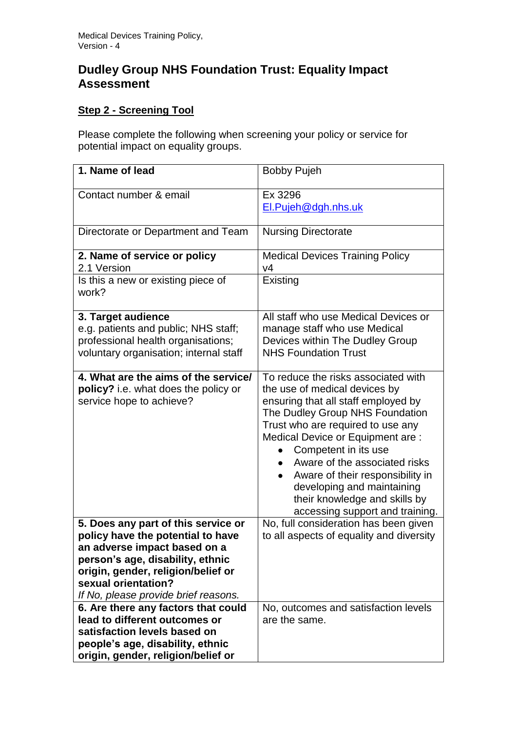# **Dudley Group NHS Foundation Trust: Equality Impact Assessment**

# **Step 2 - Screening Tool**

Please complete the following when screening your policy or service for potential impact on equality groups.

| 1. Name of lead                        | <b>Bobby Pujeh</b>                         |
|----------------------------------------|--------------------------------------------|
| Contact number & email                 | Ex 3296                                    |
|                                        | El.Pujeh@dgh.nhs.uk                        |
|                                        |                                            |
| Directorate or Department and Team     | <b>Nursing Directorate</b>                 |
|                                        |                                            |
| 2. Name of service or policy           | <b>Medical Devices Training Policy</b>     |
| 2.1 Version                            | V <sub>4</sub>                             |
| Is this a new or existing piece of     | Existing                                   |
| work?                                  |                                            |
|                                        |                                            |
| 3. Target audience                     | All staff who use Medical Devices or       |
| e.g. patients and public; NHS staff;   | manage staff who use Medical               |
| professional health organisations;     | Devices within The Dudley Group            |
| voluntary organisation; internal staff | <b>NHS Foundation Trust</b>                |
|                                        |                                            |
| 4. What are the aims of the service/   | To reduce the risks associated with        |
| policy? i.e. what does the policy or   | the use of medical devices by              |
| service hope to achieve?               | ensuring that all staff employed by        |
|                                        | The Dudley Group NHS Foundation            |
|                                        | Trust who are required to use any          |
|                                        | Medical Device or Equipment are :          |
|                                        | Competent in its use                       |
|                                        | Aware of the associated risks<br>$\bullet$ |
|                                        | Aware of their responsibility in<br>٠      |
|                                        | developing and maintaining                 |
|                                        | their knowledge and skills by              |
|                                        | accessing support and training.            |
| 5. Does any part of this service or    | No, full consideration has been given      |
| policy have the potential to have      | to all aspects of equality and diversity   |
| an adverse impact based on a           |                                            |
| person's age, disability, ethnic       |                                            |
| origin, gender, religion/belief or     |                                            |
| sexual orientation?                    |                                            |
| If No, please provide brief reasons.   |                                            |
| 6. Are there any factors that could    | No, outcomes and satisfaction levels       |
| lead to different outcomes or          | are the same.                              |
| satisfaction levels based on           |                                            |
| people's age, disability, ethnic       |                                            |
| origin, gender, religion/belief or     |                                            |